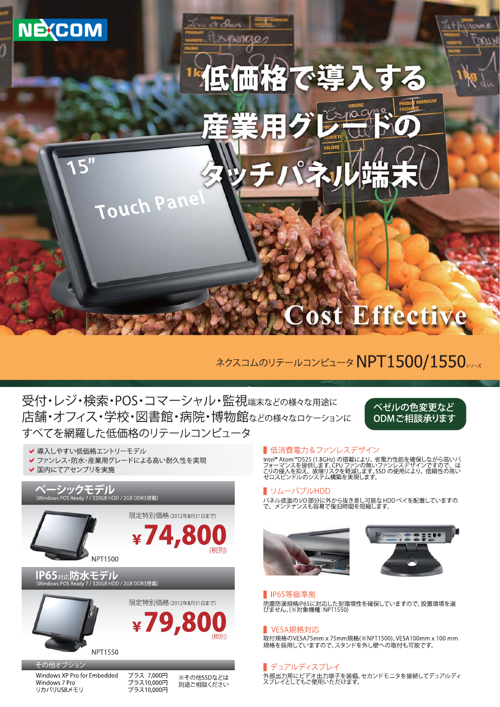

## ネクスコムのリテールコンピュータNPT1500/1550ッ

受付・レジ・検索・POS・コマーシャル・監視端末などの様々な用途に 店舗・オフィス・学校・図書館・病院・博物館などの様々なロケーションに すべてを網羅した低価格のリテールコンピュータ

べゼルの色変更など ODMご相談承ります

✔ 導入しやすい低価格エントリーモデル

- ファンレス・防水・産業用グレードによる高い耐久性を実現
- ✔ 国内にてアセンブリを実施

# ベーシックモデル<br>(Windows POS Ready 7 / 320GB HDD / 2GB DDR3搭載)





IP65対応防水モデル<br>(Windows POS Ready 7/320GB HDD/2GB DDR3搭載)





その他オプション Windows XP Pro for Embedded Windows 7 Pro リカバリUSBメモリ

プラス 7,000円 - デラス10,000円<br>プラス10,000円

※その他SSDなどは 別涂ご相談ください

#### ■低消費雷力&ファンレスデザイン

■ 「2、「2、『2」のプレンタン、プリント、『1プ」を確保しながら高いパフォーマンスを提供します。CPUファンの無いファンレスデザインですので、ほこりのイマンスを提供します。CPUファンの無いファンレスデザインですので、ほどの侵入を抑え、故障リスクを軽減します。

#### リムーバブルHDD П

■<br>パネル底面のI/O部分に外から抜き差し可能なHDDベイを配置していますの<br>で、メンテナンスも容易で復旧時間を短縮します。





#### **Ⅰ IP65等級準拠**

■<br>防塵防滴規格IP65に対応した耐環境性を確保していますので、設置環境を選<br>びません。(※対象機種:NPT1550)

#### ■ VESA規格対応

-<br>取付規格のVESA75mm x 75mm規格(※NPT1500)、VESA100mm x 100 mm 規格を採用していますので、スタンドを外し壁への取付も可能です。

#### ■ デュアルディスプレイ

■<br>外部出力用にビデオ出力端子を装備。セカンドモニタを接続してデュアルディ<br>スプレイとしてもご使用いただけます。